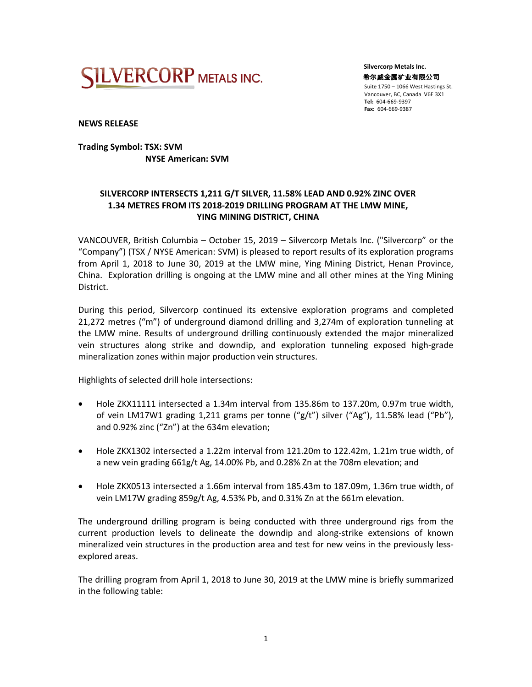

 **Silvercorp Metals Inc.** 希尔威金属矿业有限公司 Suite 1750 – 1066 West Hastings St. Vancouver, BC, Canada V6E 3X1 **Tel:** 604-669-9397  **Fax:** 604-669-9387

**NEWS RELEASE**

## **Trading Symbol: TSX: SVM NYSE American: SVM**

# **SILVERCORP INTERSECTS 1,211 G/T SILVER, 11.58% LEAD AND 0.92% ZINC OVER 1.34 METRES FROM ITS 2018-2019 DRILLING PROGRAM AT THE LMW MINE, YING MINING DISTRICT, CHINA**

VANCOUVER, British Columbia – October 15, 2019 – Silvercorp Metals Inc. ("Silvercorp" or the "Company") (TSX / NYSE American: SVM) is pleased to report results of its exploration programs from April 1, 2018 to June 30, 2019 at the LMW mine, Ying Mining District, Henan Province, China. Exploration drilling is ongoing at the LMW mine and all other mines at the Ying Mining District.

During this period, Silvercorp continued its extensive exploration programs and completed 21,272 metres ("m") of underground diamond drilling and 3,274m of exploration tunneling at the LMW mine. Results of underground drilling continuously extended the major mineralized vein structures along strike and downdip, and exploration tunneling exposed high-grade mineralization zones within major production vein structures.

Highlights of selected drill hole intersections:

- Hole ZKX11111 intersected a 1.34m interval from 135.86m to 137.20m, 0.97m true width, of vein LM17W1 grading 1,211 grams per tonne (" $g/t$ ") silver ("Ag"), 11.58% lead ("Pb"), and 0.92% zinc ("Zn") at the 634m elevation;
- Hole ZKX1302 intersected a 1.22m interval from 121.20m to 122.42m, 1.21m true width, of a new vein grading 661g/t Ag, 14.00% Pb, and 0.28% Zn at the 708m elevation; and
- Hole ZKX0513 intersected a 1.66m interval from 185.43m to 187.09m, 1.36m true width, of vein LM17W grading 859g/t Ag, 4.53% Pb, and 0.31% Zn at the 661m elevation.

The underground drilling program is being conducted with three underground rigs from the current production levels to delineate the downdip and along-strike extensions of known mineralized vein structures in the production area and test for new veins in the previously lessexplored areas.

The drilling program from April 1, 2018 to June 30, 2019 at the LMW mine is briefly summarized in the following table: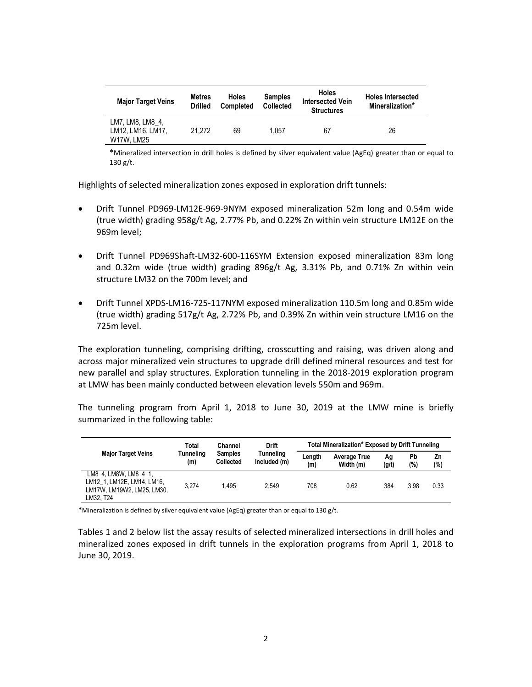| <b>Major Target Veins</b>                           | <b>Metres</b><br><b>Drilled</b> | <b>Holes</b><br><b>Completed</b> | <b>Samples</b><br><b>Collected</b> | <b>Holes</b><br><b>Intersected Vein</b><br><b>Structures</b> | <b>Holes Intersected</b><br>Mineralization* |  |
|-----------------------------------------------------|---------------------------------|----------------------------------|------------------------------------|--------------------------------------------------------------|---------------------------------------------|--|
| LM7. LM8. LM8 4.<br>LM12. LM16. LM17.<br>W17W. LM25 | 21.272                          | 69                               | 1.057                              | 67                                                           | 26                                          |  |

\*Mineralized intersection in drill holes is defined by silver equivalent value (AgEq) greater than or equal to 130 g/t.

Highlights of selected mineralization zones exposed in exploration drift tunnels:

- Drift Tunnel PD969-LM12E-969-9NYM exposed mineralization 52m long and 0.54m wide (true width) grading 958g/t Ag, 2.77% Pb, and 0.22% Zn within vein structure LM12E on the 969m level;
- Drift Tunnel PD969Shaft-LM32-600-116SYM Extension exposed mineralization 83m long and 0.32m wide (true width) grading 896g/t Ag, 3.31% Pb, and 0.71% Zn within vein structure LM32 on the 700m level; and
- Drift Tunnel XPDS-LM16-725-117NYM exposed mineralization 110.5m long and 0.85m wide (true width) grading 517g/t Ag, 2.72% Pb, and 0.39% Zn within vein structure LM16 on the 725m level.

The exploration tunneling, comprising drifting, crosscutting and raising, was driven along and across major mineralized vein structures to upgrade drill defined mineral resources and test for new parallel and splay structures. Exploration tunneling in the 2018-2019 exploration program at LMW has been mainly conducted between elevation levels 550m and 969m.

The tunneling program from April 1, 2018 to June 30, 2019 at the LMW mine is briefly summarized in the following table:

|                                                                                                | Total            | Channel<br><b>Samples</b><br><b>Collected</b> | <b>Drift</b><br>Tunneling<br>Included (m) | Total Mineralization* Exposed by Drift Tunneling |                                  |             |           |           |  |
|------------------------------------------------------------------------------------------------|------------------|-----------------------------------------------|-------------------------------------------|--------------------------------------------------|----------------------------------|-------------|-----------|-----------|--|
| <b>Major Target Veins</b>                                                                      | Tunneling<br>(m) |                                               |                                           | Lenath<br>(m)                                    | <b>Average True</b><br>Width (m) | Ag<br>(g/t) | Pb<br>(%) | Zn<br>(%) |  |
| LM8 4, LM8W, LM8 4 1,<br>LM12 1, LM12E, LM14, LM16,<br>LM17W. LM19W2. LM25. LM30.<br>LM32. T24 | 3.274            | 1.495                                         | 2.549                                     | 708                                              | 0.62                             | 384         | 3.98      | 0.33      |  |

**\***Mineralization is defined by silver equivalent value (AgEq) greater than or equal to 130 g/t.

Tables 1 and 2 below list the assay results of selected mineralized intersections in drill holes and mineralized zones exposed in drift tunnels in the exploration programs from April 1, 2018 to June 30, 2019.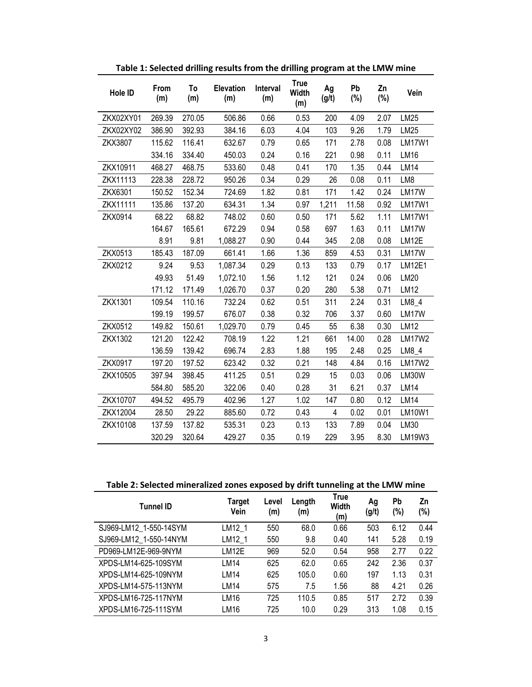| Hole ID   | From<br>(m) | To<br>(m) | <b>Elevation</b><br>(m) | Interval<br>(m) | <b>True</b><br><b>Width</b><br>(m) | Ag<br>(g/t) | Pb<br>(%) | Zn<br>$(\%)$ | Vein          |
|-----------|-------------|-----------|-------------------------|-----------------|------------------------------------|-------------|-----------|--------------|---------------|
| ZKX02XY01 | 269.39      | 270.05    | 506.86                  | 0.66            | 0.53                               | 200         | 4.09      | 2.07         | LM25          |
| ZKX02XY02 | 386.90      | 392.93    | 384.16                  | 6.03            | 4.04                               | 103         | 9.26      | 1.79         | LM25          |
| ZKX3807   | 115.62      | 116.41    | 632.67                  | 0.79            | 0.65                               | 171         | 2.78      | 0.08         | <b>LM17W1</b> |
|           | 334.16      | 334.40    | 450.03                  | 0.24            | 0.16                               | 221         | 0.98      | 0.11         | <b>LM16</b>   |
| ZKX10911  | 468.27      | 468.75    | 533.60                  | 0.48            | 0.41                               | 170         | 1.35      | 0.44         | <b>LM14</b>   |
| ZKX11113  | 228.38      | 228.72    | 950.26                  | 0.34            | 0.29                               | 26          | 0.08      | 0.11         | LM8           |
| ZKX6301   | 150.52      | 152.34    | 724.69                  | 1.82            | 0.81                               | 171         | 1.42      | 0.24         | LM17W         |
| ZKX11111  | 135.86      | 137.20    | 634.31                  | 1.34            | 0.97                               | 1,211       | 11.58     | 0.92         | <b>LM17W1</b> |
| ZKX0914   | 68.22       | 68.82     | 748.02                  | 0.60            | 0.50                               | 171         | 5.62      | 1.11         | <b>LM17W1</b> |
|           | 164.67      | 165.61    | 672.29                  | 0.94            | 0.58                               | 697         | 1.63      | 0.11         | LM17W         |
|           | 8.91        | 9.81      | 1,088.27                | 0.90            | 0.44                               | 345         | 2.08      | 0.08         | LM12E         |
| ZKX0513   | 185.43      | 187.09    | 661.41                  | 1.66            | 1.36                               | 859         | 4.53      | 0.31         | LM17W         |
| ZKX0212   | 9.24        | 9.53      | 1,087.34                | 0.29            | 0.13                               | 133         | 0.79      | 0.17         | <b>LM12E1</b> |
|           | 49.93       | 51.49     | 1,072.10                | 1.56            | 1.12                               | 121         | 0.24      | 0.06         | LM20          |
|           | 171.12      | 171.49    | 1,026.70                | 0.37            | 0.20                               | 280         | 5.38      | 0.71         | <b>LM12</b>   |
| ZKX1301   | 109.54      | 110.16    | 732.24                  | 0.62            | 0.51                               | 311         | 2.24      | 0.31         | $LM8_4$       |
|           | 199.19      | 199.57    | 676.07                  | 0.38            | 0.32                               | 706         | 3.37      | 0.60         | LM17W         |
| ZKX0512   | 149.82      | 150.61    | 1,029.70                | 0.79            | 0.45                               | 55          | 6.38      | 0.30         | <b>LM12</b>   |
| ZKX1302   | 121.20      | 122.42    | 708.19                  | 1.22            | 1.21                               | 661         | 14.00     | 0.28         | <b>LM17W2</b> |
|           | 136.59      | 139.42    | 696.74                  | 2.83            | 1.88                               | 195         | 2.48      | 0.25         | LM8_4         |
| ZKX0917   | 197.20      | 197.52    | 623.42                  | 0.32            | 0.21                               | 148         | 4.84      | 0.16         | <b>LM17W2</b> |
| ZKX10505  | 397.94      | 398.45    | 411.25                  | 0.51            | 0.29                               | 15          | 0.03      | 0.06         | LM30W         |
|           | 584.80      | 585.20    | 322.06                  | 0.40            | 0.28                               | 31          | 6.21      | 0.37         | <b>LM14</b>   |
| ZKX10707  | 494.52      | 495.79    | 402.96                  | 1.27            | 1.02                               | 147         | 0.80      | 0.12         | <b>LM14</b>   |
| ZKX12004  | 28.50       | 29.22     | 885.60                  | 0.72            | 0.43                               | 4           | 0.02      | 0.01         | <b>LM10W1</b> |
| ZKX10108  | 137.59      | 137.82    | 535.31                  | 0.23            | 0.13                               | 133         | 7.89      | 0.04         | LM30          |
|           | 320.29      | 320.64    | 429.27                  | 0.35            | 0.19                               | 229         | 3.95      | 8.30         | LM19W3        |

**Table 1: Selected drilling results from the drilling program at the LMW mine**

**Table 2: Selected mineralized zones exposed by drift tunneling at the LMW mine**

| <b>Tunnel ID</b>       | Target<br>Vein | Level<br>(m) | Length<br>(m) | <b>True</b><br>Width<br>(m) | Aq<br>(g/t) | Pb<br>(%) | Zn<br>$(\%)$ |
|------------------------|----------------|--------------|---------------|-----------------------------|-------------|-----------|--------------|
| SJ969-LM12 1-550-14SYM | LM12 1         | 550          | 68.0          | 0.66                        | 503         | 6.12      | 0.44         |
| SJ969-LM12 1-550-14NYM | LM12 1         | 550          | 9.8           | 0.40                        | 141         | 5.28      | 0.19         |
| PD969-LM12E-969-9NYM   | LM12E          | 969          | 52.0          | 0.54                        | 958         | 2.77      | 0.22         |
| XPDS-LM14-625-109SYM   | LM14           | 625          | 62.0          | 0.65                        | 242         | 2.36      | 0.37         |
| XPDS-LM14-625-109NYM   | LM14           | 625          | 105.0         | 0.60                        | 197         | 1.13      | 0.31         |
| XPDS-LM14-575-113NYM   | LM14           | 575          | 7.5           | 1.56                        | 88          | 4.21      | 0.26         |
| XPDS-LM16-725-117NYM   | LM16           | 725          | 110.5         | 0.85                        | 517         | 2.72      | 0.39         |
| XPDS-LM16-725-111SYM   | LM16           | 725          | 10.0          | 0.29                        | 313         | 1.08      | 0.15         |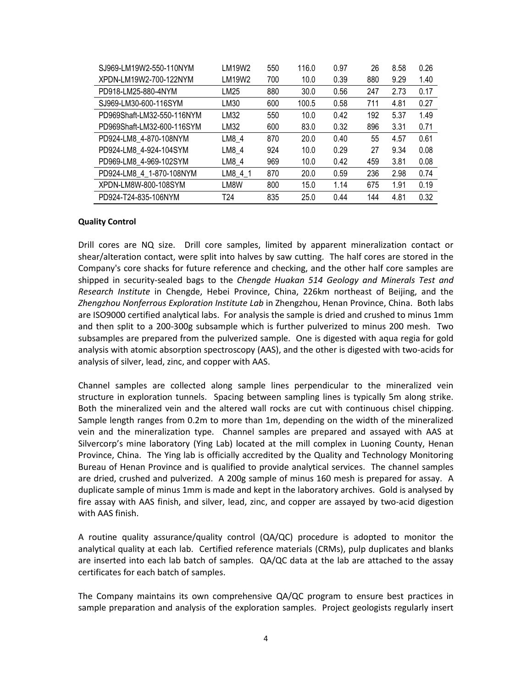| SJ969-LM19W2-550-110NYM    | LM19W2          | 550 | 116.0 | 0.97 | 26  | 8.58 | 0.26 |
|----------------------------|-----------------|-----|-------|------|-----|------|------|
| XPDN-LM19W2-700-122NYM     | LM19W2          | 700 | 10.0  | 0.39 | 880 | 9.29 | 1.40 |
| PD918-LM25-880-4NYM        | LM25            | 880 | 30.0  | 0.56 | 247 | 2.73 | 0.17 |
| SJ969-LM30-600-116SYM      | LM30            | 600 | 100.5 | 0.58 | 711 | 4.81 | 0.27 |
| PD969Shaft-LM32-550-116NYM | LM32            | 550 | 10.0  | 0.42 | 192 | 5.37 | 1.49 |
| PD969Shaft-LM32-600-116SYM | LM32            | 600 | 83.0  | 0.32 | 896 | 3.31 | 0.71 |
| PD924-LM8 4-870-108NYM     | LM8 4           | 870 | 20.0  | 0.40 | 55  | 4.57 | 0.61 |
| PD924-LM8 4-924-104SYM     | LM8 4           | 924 | 10.0  | 0.29 | 27  | 9.34 | 0.08 |
| PD969-LM8 4-969-102SYM     | LM8 4           | 969 | 10.0  | 0.42 | 459 | 3.81 | 0.08 |
| PD924-LM8 4 1-870-108NYM   | LM8 4 1         | 870 | 20.0  | 0.59 | 236 | 2.98 | 0.74 |
| XPDN-LM8W-800-108SYM       | LM8W            | 800 | 15.0  | 1.14 | 675 | 1.91 | 0.19 |
| PD924-T24-835-106NYM       | T <sub>24</sub> | 835 | 25.0  | 0.44 | 144 | 4.81 | 0.32 |

### **Quality Control**

Drill cores are NQ size. Drill core samples, limited by apparent mineralization contact or shear/alteration contact, were split into halves by saw cutting. The half cores are stored in the Company's core shacks for future reference and checking, and the other half core samples are shipped in security-sealed bags to the *Chengde Huakan 514 Geology and Minerals Test and Research Institute* in Chengde, Hebei Province, China, 226km northeast of Beijing, and the *Zhengzhou Nonferrous Exploration Institute Lab* in Zhengzhou, Henan Province, China. Both labs are ISO9000 certified analytical labs. For analysis the sample is dried and crushed to minus 1mm and then split to a 200-300g subsample which is further pulverized to minus 200 mesh. Two subsamples are prepared from the pulverized sample. One is digested with aqua regia for gold analysis with atomic absorption spectroscopy (AAS), and the other is digested with two-acids for analysis of silver, lead, zinc, and copper with AAS.

Channel samples are collected along sample lines perpendicular to the mineralized vein structure in exploration tunnels. Spacing between sampling lines is typically 5m along strike. Both the mineralized vein and the altered wall rocks are cut with continuous chisel chipping. Sample length ranges from 0.2m to more than 1m, depending on the width of the mineralized vein and the mineralization type. Channel samples are prepared and assayed with AAS at Silvercorp's mine laboratory (Ying Lab) located at the mill complex in Luoning County, Henan Province, China. The Ying lab is officially accredited by the Quality and Technology Monitoring Bureau of Henan Province and is qualified to provide analytical services. The channel samples are dried, crushed and pulverized. A 200g sample of minus 160 mesh is prepared for assay. A duplicate sample of minus 1mm is made and kept in the laboratory archives. Gold is analysed by fire assay with AAS finish, and silver, lead, zinc, and copper are assayed by two-acid digestion with AAS finish.

A routine quality assurance/quality control (QA/QC) procedure is adopted to monitor the analytical quality at each lab. Certified reference materials (CRMs), pulp duplicates and blanks are inserted into each lab batch of samples. QA/QC data at the lab are attached to the assay certificates for each batch of samples.

The Company maintains its own comprehensive QA/QC program to ensure best practices in sample preparation and analysis of the exploration samples. Project geologists regularly insert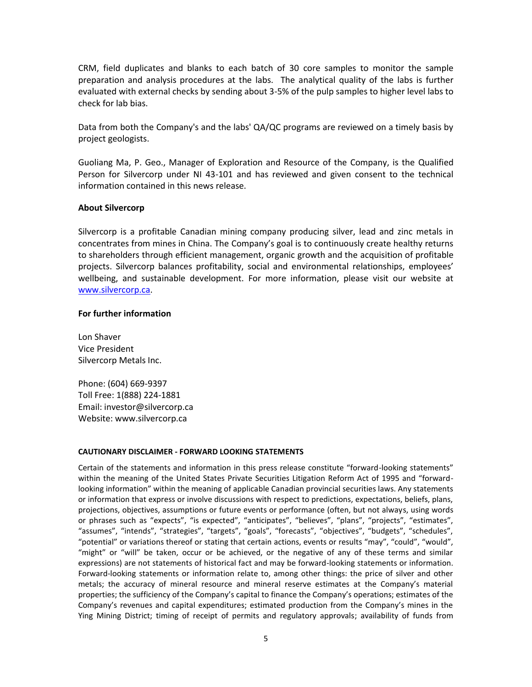CRM, field duplicates and blanks to each batch of 30 core samples to monitor the sample preparation and analysis procedures at the labs. The analytical quality of the labs is further evaluated with external checks by sending about 3-5% of the pulp samples to higher level labs to check for lab bias.

Data from both the Company's and the labs' QA/QC programs are reviewed on a timely basis by project geologists.

Guoliang Ma, P. Geo., Manager of Exploration and Resource of the Company, is the Qualified Person for Silvercorp under NI 43-101 and has reviewed and given consent to the technical information contained in this news release.

## **About Silvercorp**

Silvercorp is a profitable Canadian mining company producing silver, lead and zinc metals in concentrates from mines in China. The Company's goal is to continuously create healthy returns to shareholders through efficient management, organic growth and the acquisition of profitable projects. Silvercorp balances profitability, social and environmental relationships, employees' wellbeing, and sustainable development. For more information, please visit our website at [www.silvercorp.ca.](http://www.silvercorp.ca/)

### **For further information**

Lon Shaver Vice President Silvercorp Metals Inc.

Phone: (604) 669-9397 Toll Free: 1(888) 224-1881 Email: investor@silvercorp.ca Website: www.silvercorp.ca

### **CAUTIONARY DISCLAIMER - FORWARD LOOKING STATEMENTS**

Certain of the statements and information in this press release constitute "forward-looking statements" within the meaning of the United States Private Securities Litigation Reform Act of 1995 and "forwardlooking information" within the meaning of applicable Canadian provincial securities laws. Any statements or information that express or involve discussions with respect to predictions, expectations, beliefs, plans, projections, objectives, assumptions or future events or performance (often, but not always, using words or phrases such as "expects", "is expected", "anticipates", "believes", "plans", "projects", "estimates", "assumes", "intends", "strategies", "targets", "goals", "forecasts", "objectives", "budgets", "schedules", "potential" or variations thereof or stating that certain actions, events or results "may", "could", "would", "might" or "will" be taken, occur or be achieved, or the negative of any of these terms and similar expressions) are not statements of historical fact and may be forward-looking statements or information. Forward-looking statements or information relate to, among other things: the price of silver and other metals; the accuracy of mineral resource and mineral reserve estimates at the Company's material properties; the sufficiency of the Company's capital to finance the Company's operations; estimates of the Company's revenues and capital expenditures; estimated production from the Company's mines in the Ying Mining District; timing of receipt of permits and regulatory approvals; availability of funds from